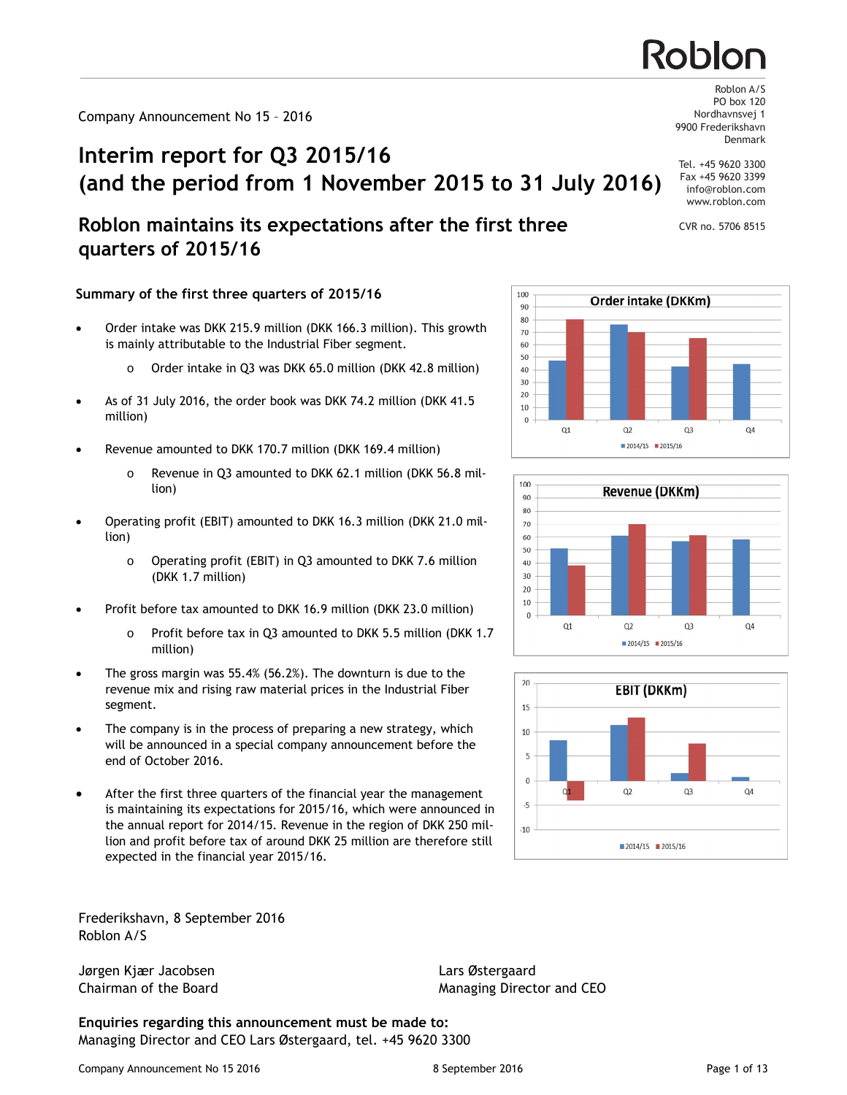# **Interim report for Q3 2015/16 (and the period from 1 November 2015 to 31 July 2016)**

# **Roblon maintains its expectations after the first three quarters of 2015/16**

## **Summary of the first three quarters of 2015/16**

- Order intake was DKK 215.9 million (DKK 166.3 million). This growth is mainly attributable to the Industrial Fiber segment.
	- o Order intake in Q3 was DKK 65.0 million (DKK 42.8 million)
- · As of 31 July 2016, the order book was DKK 74.2 million (DKK 41.5 million)
- Revenue amounted to DKK 170.7 million (DKK 169.4 million)
	- o Revenue in Q3 amounted to DKK 62.1 million (DKK 56.8 million)
- · Operating profit (EBIT) amounted to DKK 16.3 million (DKK 21.0 million)
	- o Operating profit (EBIT) in Q3 amounted to DKK 7.6 million (DKK 1.7 million)
- Profit before tax amounted to DKK 16.9 million (DKK 23.0 million)
	- o Profit before tax in Q3 amounted to DKK 5.5 million (DKK 1.7 million)
- The gross margin was 55.4% (56.2%). The downturn is due to the revenue mix and rising raw material prices in the Industrial Fiber segment.
- The company is in the process of preparing a new strategy, which will be announced in a special company announcement before the end of October 2016.
- After the first three quarters of the financial year the management is maintaining its expectations for 2015/16, which were announced in the annual report for 2014/15. Revenue in the region of DKK 250 million and profit before tax of around DKK 25 million are therefore still expected in the financial year 2015/16.

Frederikshavn, 8 September 2016 Roblon A/S

Jørgen Kjær Jacobsen Lars Østergaard

**Enquiries regarding this announcement must be made to:** Managing Director and CEO Lars Østergaard, tel. +45 9620 3300  $100 -$ Order intake (DKKm) 90 80  $70$ 60 50 40  $30^{\circ}$  $20$ 10  $\mathbf 0$  $Q1$  $Q2$  $Q<sub>3</sub>$  $Q<sub>4</sub>$  $2014/15$  2015/16





Nordhavnsvej 1 9900 Frederikshavn Denmark Tel. +45 9620 3300

Roblon A/S PO box 120

Fax +45 9620 3399 info@roblon.com www.roblon.com

CVR no. 5706 8515



Chairman of the Board Managing Director and CEO

Roblor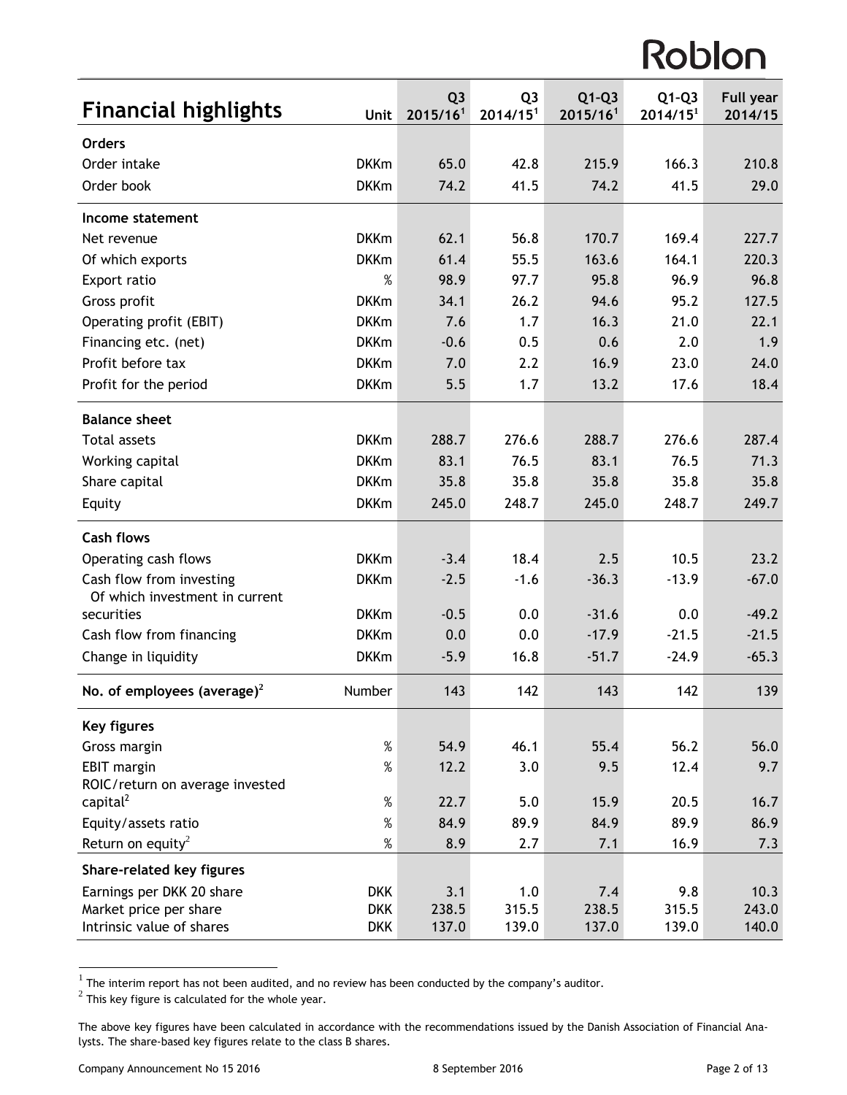| <b>Financial highlights</b>                           | Unit        | Q <sub>3</sub><br>2015/16 <sup>1</sup> | Q <sub>3</sub><br>2014/15 <sup>1</sup> | $Q1-Q3$<br>2015/16 <sup>1</sup> | $Q1-Q3$<br>2014/15 <sup>1</sup> | <b>Full year</b><br>2014/15 |
|-------------------------------------------------------|-------------|----------------------------------------|----------------------------------------|---------------------------------|---------------------------------|-----------------------------|
| <b>Orders</b>                                         |             |                                        |                                        |                                 |                                 |                             |
| Order intake                                          | <b>DKKm</b> | 65.0                                   | 42.8                                   | 215.9                           | 166.3                           | 210.8                       |
| Order book                                            | <b>DKKm</b> | 74.2                                   | 41.5                                   | 74.2                            | 41.5                            | 29.0                        |
| Income statement                                      |             |                                        |                                        |                                 |                                 |                             |
| Net revenue                                           | <b>DKKm</b> | 62.1                                   | 56.8                                   | 170.7                           | 169.4                           | 227.7                       |
| Of which exports                                      | <b>DKKm</b> | 61.4                                   | 55.5                                   | 163.6                           | 164.1                           | 220.3                       |
| Export ratio                                          | $\%$        | 98.9                                   | 97.7                                   | 95.8                            | 96.9                            | 96.8                        |
| Gross profit                                          | <b>DKKm</b> | 34.1                                   | 26.2                                   | 94.6                            | 95.2                            | 127.5                       |
| Operating profit (EBIT)                               | <b>DKKm</b> | 7.6                                    | 1.7                                    | 16.3                            | 21.0                            | 22.1                        |
| Financing etc. (net)                                  | <b>DKKm</b> | $-0.6$                                 | 0.5                                    | 0.6                             | 2.0                             | 1.9                         |
| Profit before tax                                     | <b>DKKm</b> | 7.0                                    | 2.2                                    | 16.9                            | 23.0                            | 24.0                        |
| Profit for the period                                 | <b>DKKm</b> | 5.5                                    | 1.7                                    | 13.2                            | 17.6                            | 18.4                        |
| <b>Balance sheet</b>                                  |             |                                        |                                        |                                 |                                 |                             |
| <b>Total assets</b>                                   | <b>DKKm</b> | 288.7                                  | 276.6                                  | 288.7                           | 276.6                           | 287.4                       |
| Working capital                                       | <b>DKKm</b> | 83.1                                   | 76.5                                   | 83.1                            | 76.5                            | 71.3                        |
| Share capital                                         | <b>DKKm</b> | 35.8                                   | 35.8                                   | 35.8                            | 35.8                            | 35.8                        |
| Equity                                                | <b>DKKm</b> | 245.0                                  | 248.7                                  | 245.0                           | 248.7                           | 249.7                       |
| <b>Cash flows</b>                                     |             |                                        |                                        |                                 |                                 |                             |
| Operating cash flows                                  | <b>DKKm</b> | $-3.4$                                 | 18.4                                   | 2.5                             | 10.5                            | 23.2                        |
| Cash flow from investing                              | <b>DKKm</b> | $-2.5$                                 | $-1.6$                                 | $-36.3$                         | $-13.9$                         | $-67.0$                     |
| Of which investment in current                        |             |                                        |                                        |                                 |                                 |                             |
| securities                                            | <b>DKKm</b> | $-0.5$                                 | 0.0                                    | $-31.6$                         | 0.0                             | $-49.2$                     |
| Cash flow from financing                              | <b>DKKm</b> | 0.0                                    | 0.0                                    | $-17.9$                         | $-21.5$                         | $-21.5$                     |
| Change in liquidity                                   | <b>DKKm</b> | $-5.9$                                 | 16.8                                   | $-51.7$                         | $-24.9$                         | $-65.3$                     |
| No. of employees (average) <sup>2</sup>               | Number      | 143                                    | 142                                    | 143                             | 142                             | 139                         |
| <b>Key figures</b>                                    |             |                                        |                                        |                                 |                                 |                             |
| Gross margin                                          | $\%$        | 54.9                                   | 46.1                                   | 55.4                            | 56.2                            | 56.0                        |
| <b>EBIT margin</b><br>ROIC/return on average invested | $\%$        | 12.2                                   | 3.0                                    | 9.5                             | 12.4                            | 9.7                         |
| capital <sup>2</sup>                                  | $\%$        | 22.7                                   | 5.0                                    | 15.9                            | 20.5                            | 16.7                        |
| Equity/assets ratio                                   | $\%$        | 84.9                                   | 89.9                                   | 84.9                            | 89.9                            | 86.9                        |
| Return on equity <sup>2</sup>                         | $\%$        | 8.9                                    | 2.7                                    | 7.1                             | 16.9                            | 7.3                         |
| Share-related key figures                             |             |                                        |                                        |                                 |                                 |                             |
| Earnings per DKK 20 share                             | <b>DKK</b>  | 3.1                                    | 1.0                                    | 7.4                             | 9.8                             | 10.3                        |
| Market price per share                                | <b>DKK</b>  | 238.5                                  | 315.5                                  | 238.5                           | 315.5                           | 243.0                       |
| Intrinsic value of shares                             | <b>DKK</b>  | 137.0                                  | 139.0                                  | 137.0                           | 139.0                           | 140.0                       |

The interim report has not been audited, and no review has been conducted by the company's auditor.<br><sup>2</sup> This key figure is calculated for the whole year.

The above key figures have been calculated in accordance with the recommendations issued by the Danish Association of Financial Analysts. The share-based key figures relate to the class B shares.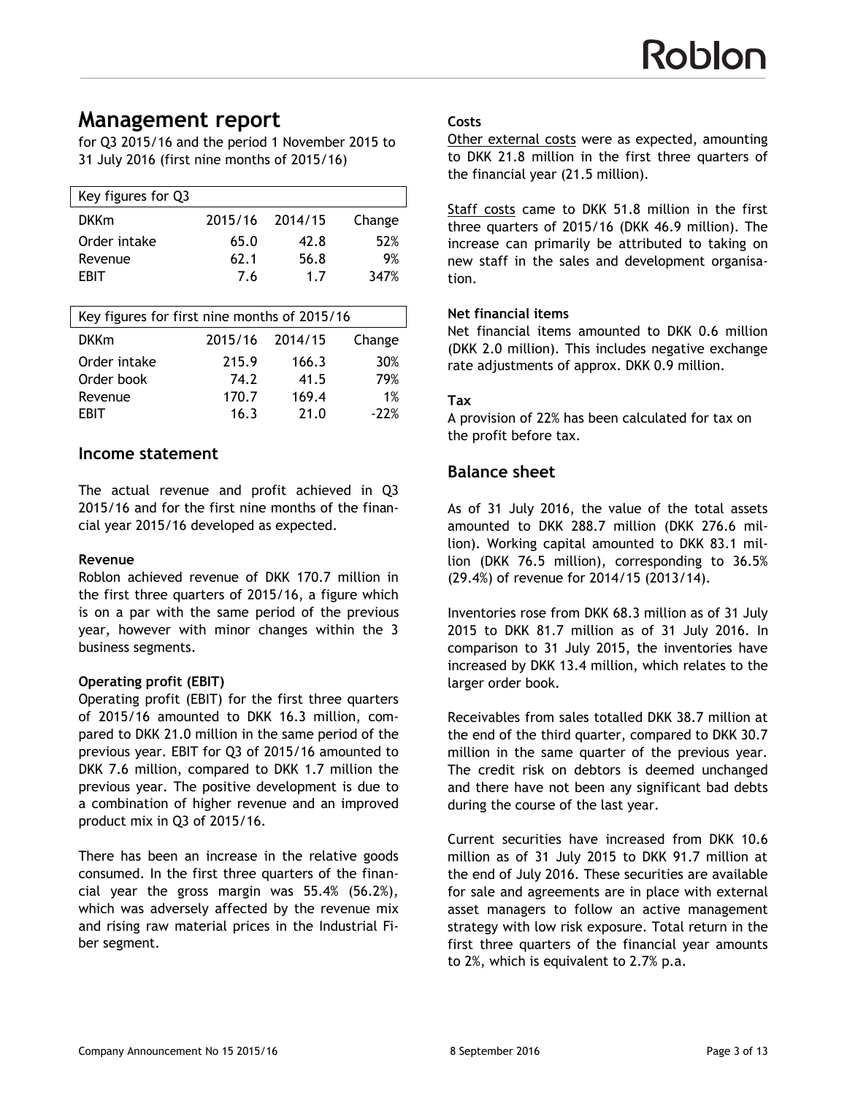# **Management report**

for Q3 2015/16 and the period 1 November 2015 to 31 July 2016 (first nine months of 2015/16)

| Key figures for Q3 |         |         |        |
|--------------------|---------|---------|--------|
| <b>DKKm</b>        | 2015/16 | 2014/15 | Change |
| Order intake       | 65.0    | 42.8    | 52%    |
| Revenue            | 62.1    | 56.8    | 9%     |
| FRIT               | 7.6     | 1.7     | 347%   |
|                    |         |         |        |

| Key figures for first nine months of 2015/16 |         |         |        |  |  |
|----------------------------------------------|---------|---------|--------|--|--|
| <b>DKKm</b>                                  | 2015/16 | 2014/15 | Change |  |  |
| Order intake                                 | 215.9   | 166.3   | 30%    |  |  |
| Order book                                   | 74.2    | 41.5    | 79%    |  |  |
| Revenue                                      | 170.7   | 169.4   | 1%     |  |  |
| <b>EBIT</b>                                  | 16.3    | 21.0    | $-22%$ |  |  |
|                                              |         |         |        |  |  |

## **Income statement**

The actual revenue and profit achieved in Q3 2015/16 and for the first nine months of the financial year 2015/16 developed as expected.

#### **Revenue**

Roblon achieved revenue of DKK 170.7 million in the first three quarters of 2015/16, a figure which is on a par with the same period of the previous year, however with minor changes within the 3 business segments.

#### **Operating profit (EBIT)**

Operating profit (EBIT) for the first three quarters of 2015/16 amounted to DKK 16.3 million, compared to DKK 21.0 million in the same period of the previous year. EBIT for Q3 of 2015/16 amounted to DKK 7.6 million, compared to DKK 1.7 million the previous year. The positive development is due to a combination of higher revenue and an improved product mix in Q3 of 2015/16.

There has been an increase in the relative goods consumed. In the first three quarters of the financial year the gross margin was 55.4% (56.2%), which was adversely affected by the revenue mix and rising raw material prices in the Industrial Fiber segment.

#### **Costs**

Other external costs were as expected, amounting to DKK 21.8 million in the first three quarters of the financial year (21.5 million).

Staff costs came to DKK 51.8 million in the first three quarters of 2015/16 (DKK 46.9 million). The increase can primarily be attributed to taking on new staff in the sales and development organisation.

#### **Net financial items**

Net financial items amounted to DKK 0.6 million (DKK 2.0 million). This includes negative exchange rate adjustments of approx. DKK 0.9 million.

#### **Tax**

A provision of 22% has been calculated for tax on the profit before tax.

## **Balance sheet**

As of 31 July 2016, the value of the total assets amounted to DKK 288.7 million (DKK 276.6 million). Working capital amounted to DKK 83.1 million (DKK 76.5 million), corresponding to 36.5% (29.4%) of revenue for 2014/15 (2013/14).

Inventories rose from DKK 68.3 million as of 31 July 2015 to DKK 81.7 million as of 31 July 2016. In comparison to 31 July 2015, the inventories have increased by DKK 13.4 million, which relates to the larger order book.

Receivables from sales totalled DKK 38.7 million at the end of the third quarter, compared to DKK 30.7 million in the same quarter of the previous year. The credit risk on debtors is deemed unchanged and there have not been any significant bad debts during the course of the last year.

Current securities have increased from DKK 10.6 million as of 31 July 2015 to DKK 91.7 million at the end of July 2016. These securities are available for sale and agreements are in place with external asset managers to follow an active management strategy with low risk exposure. Total return in the first three quarters of the financial year amounts to 2%, which is equivalent to 2.7% p.a.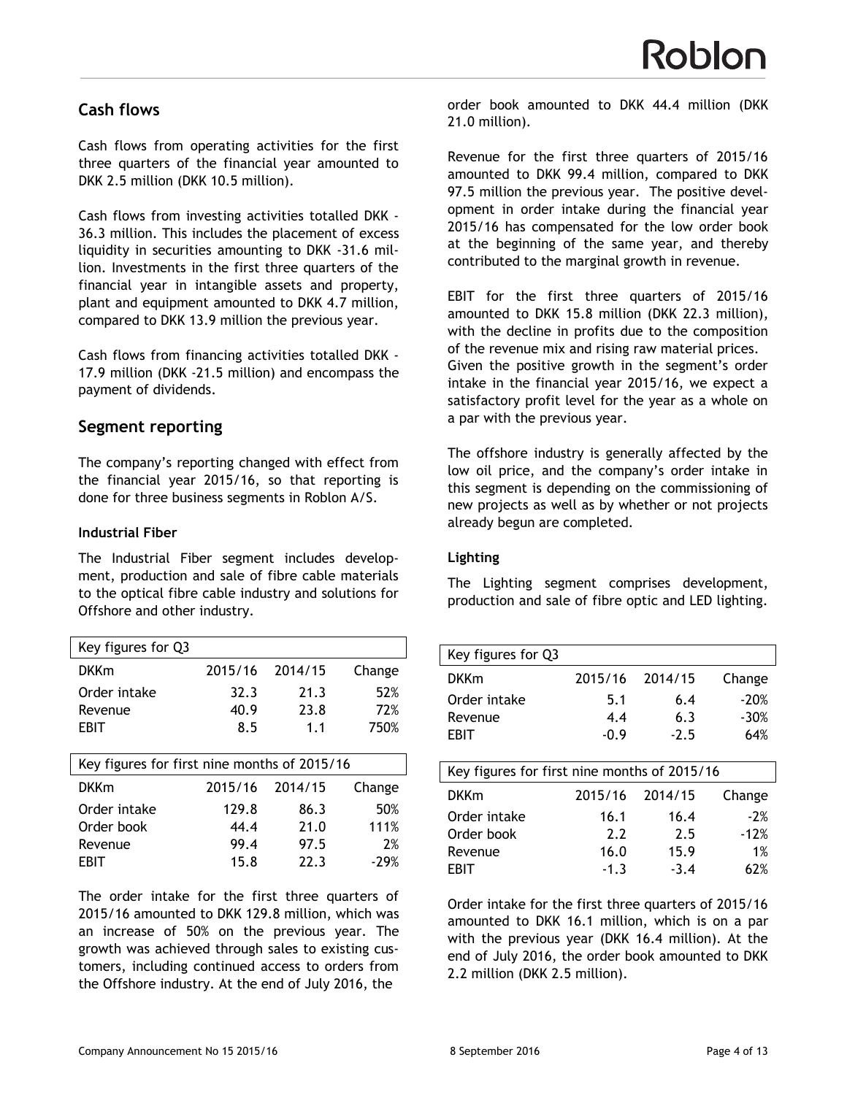# **Cash flows**

Cash flows from operating activities for the first three quarters of the financial year amounted to DKK 2.5 million (DKK 10.5 million).

Cash flows from investing activities totalled DKK - 36.3 million. This includes the placement of excess liquidity in securities amounting to DKK -31.6 million. Investments in the first three quarters of the financial year in intangible assets and property, plant and equipment amounted to DKK 4.7 million, compared to DKK 13.9 million the previous year.

Cash flows from financing activities totalled DKK - 17.9 million (DKK -21.5 million) and encompass the payment of dividends.

# **Segment reporting**

The company's reporting changed with effect from the financial year 2015/16, so that reporting is done for three business segments in Roblon A/S.

### **Industrial Fiber**

The Industrial Fiber segment includes development, production and sale of fibre cable materials to the optical fibre cable industry and solutions for Offshore and other industry.

| Key figures for Q3                           |         |         |        |
|----------------------------------------------|---------|---------|--------|
| <b>DKKm</b>                                  | 2015/16 | 2014/15 | Change |
| Order intake                                 | 32.3    | 21.3    | 52%    |
| Revenue                                      | 40.9    | 23.8    | 72%    |
| EBIT                                         | 8.5     | 1.1     | 750%   |
|                                              |         |         |        |
| Key figures for first nine months of 2015/16 |         |         |        |
| <b>DKKm</b>                                  | 2015/16 |         |        |
|                                              |         | 2014/15 | Change |
| Order intake                                 | 129.8   | 86.3    | 50%    |
| Order book                                   | 44.4    | 21.0    | 111%   |
| Revenue                                      | 99.4    | 97.5    | 2%     |
| EBIT                                         | 15.8    | 22.3    | $-29%$ |

The order intake for the first three quarters of 2015/16 amounted to DKK 129.8 million, which was an increase of 50% on the previous year. The growth was achieved through sales to existing customers, including continued access to orders from the Offshore industry. At the end of July 2016, the

order book amounted to DKK 44.4 million (DKK 21.0 million).

Revenue for the first three quarters of 2015/16 amounted to DKK 99.4 million, compared to DKK 97.5 million the previous year. The positive development in order intake during the financial year 2015/16 has compensated for the low order book at the beginning of the same year, and thereby contributed to the marginal growth in revenue.

EBIT for the first three quarters of 2015/16 amounted to DKK 15.8 million (DKK 22.3 million), with the decline in profits due to the composition of the revenue mix and rising raw material prices. Given the positive growth in the segment's order intake in the financial year 2015/16, we expect a satisfactory profit level for the year as a whole on a par with the previous year.

The offshore industry is generally affected by the low oil price, and the company's order intake in this segment is depending on the commissioning of new projects as well as by whether or not projects already begun are completed.

## **Lighting**

The Lighting segment comprises development, production and sale of fibre optic and LED lighting.

| Key figures for Q3                           |         |         |        |
|----------------------------------------------|---------|---------|--------|
| <b>DKKm</b>                                  | 2015/16 | 2014/15 | Change |
| Order intake                                 | 5.1     | 6.4     | $-20%$ |
| Revenue                                      | 4.4     | 6.3     | $-30%$ |
| EBIT                                         | $-0.9$  | $-2.5$  | 64%    |
|                                              |         |         |        |
| Key figures for first nine months of 2015/16 |         |         |        |
| <b>DKKm</b>                                  | 2015/16 | 2014/15 | Change |
| Order intake                                 | 16.1    | 16.4    | $-2%$  |
| Order book                                   | 2.2     | 2.5     | $-12%$ |
| Revenue                                      | 16.0    | 15.9    | 1%     |
| EBIT                                         | $-1.3$  | $-3.4$  | 62%    |

Order intake for the first three quarters of 2015/16 amounted to DKK 16.1 million, which is on a par with the previous year (DKK 16.4 million). At the end of July 2016, the order book amounted to DKK 2.2 million (DKK 2.5 million).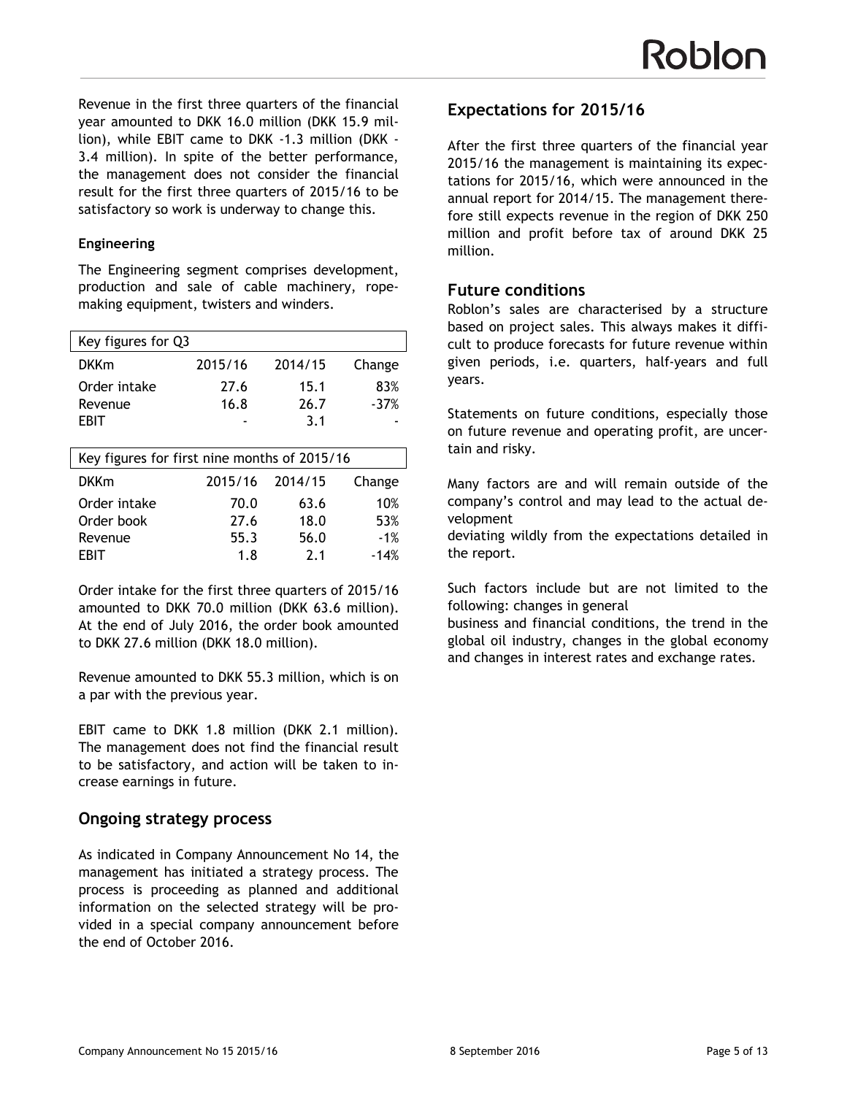Revenue in the first three quarters of the financial year amounted to DKK 16.0 million (DKK 15.9 million), while EBIT came to DKK -1.3 million (DKK - 3.4 million). In spite of the better performance, the management does not consider the financial result for the first three quarters of 2015/16 to be satisfactory so work is underway to change this.

#### **Engineering**

The Engineering segment comprises development, production and sale of cable machinery, ropemaking equipment, twisters and winders.

| Key figures for Q3                           |         |         |        |  |
|----------------------------------------------|---------|---------|--------|--|
| <b>DKKm</b>                                  | 2015/16 | 2014/15 | Change |  |
| Order intake                                 | 27.6    | 15.1    | 83%    |  |
| Revenue                                      | 16.8    | 26.7    | $-37%$ |  |
| EBIT                                         |         | 3.1     |        |  |
|                                              |         |         |        |  |
| Key figures for first nine months of 2015/16 |         |         |        |  |
|                                              |         |         |        |  |
| <b>DKKm</b>                                  | 2015/16 | 2014/15 | Change |  |
| Order intake                                 | 70.0    | 63.6    | 10%    |  |
| Order book                                   | 27.6    | 18.0    | 53%    |  |
| Revenue                                      | 55.3    | 56.0    | $-1%$  |  |

Order intake for the first three quarters of 2015/16 amounted to DKK 70.0 million (DKK 63.6 million). At the end of July 2016, the order book amounted to DKK 27.6 million (DKK 18.0 million).

Revenue amounted to DKK 55.3 million, which is on a par with the previous year.

EBIT came to DKK 1.8 million (DKK 2.1 million). The management does not find the financial result to be satisfactory, and action will be taken to increase earnings in future.

## **Ongoing strategy process**

As indicated in Company Announcement No 14, the management has initiated a strategy process. The process is proceeding as planned and additional information on the selected strategy will be provided in a special company announcement before the end of October 2016.

## **Expectations for 2015/16**

After the first three quarters of the financial year 2015/16 the management is maintaining its expectations for 2015/16, which were announced in the annual report for 2014/15. The management therefore still expects revenue in the region of DKK 250 million and profit before tax of around DKK 25 million.

### **Future conditions**

Roblon's sales are characterised by a structure based on project sales. This always makes it difficult to produce forecasts for future revenue within given periods, i.e. quarters, half-years and full years.

Statements on future conditions, especially those on future revenue and operating profit, are uncertain and risky.

Many factors are and will remain outside of the company's control and may lead to the actual development

deviating wildly from the expectations detailed in the report.

Such factors include but are not limited to the following: changes in general

business and financial conditions, the trend in the global oil industry, changes in the global economy and changes in interest rates and exchange rates.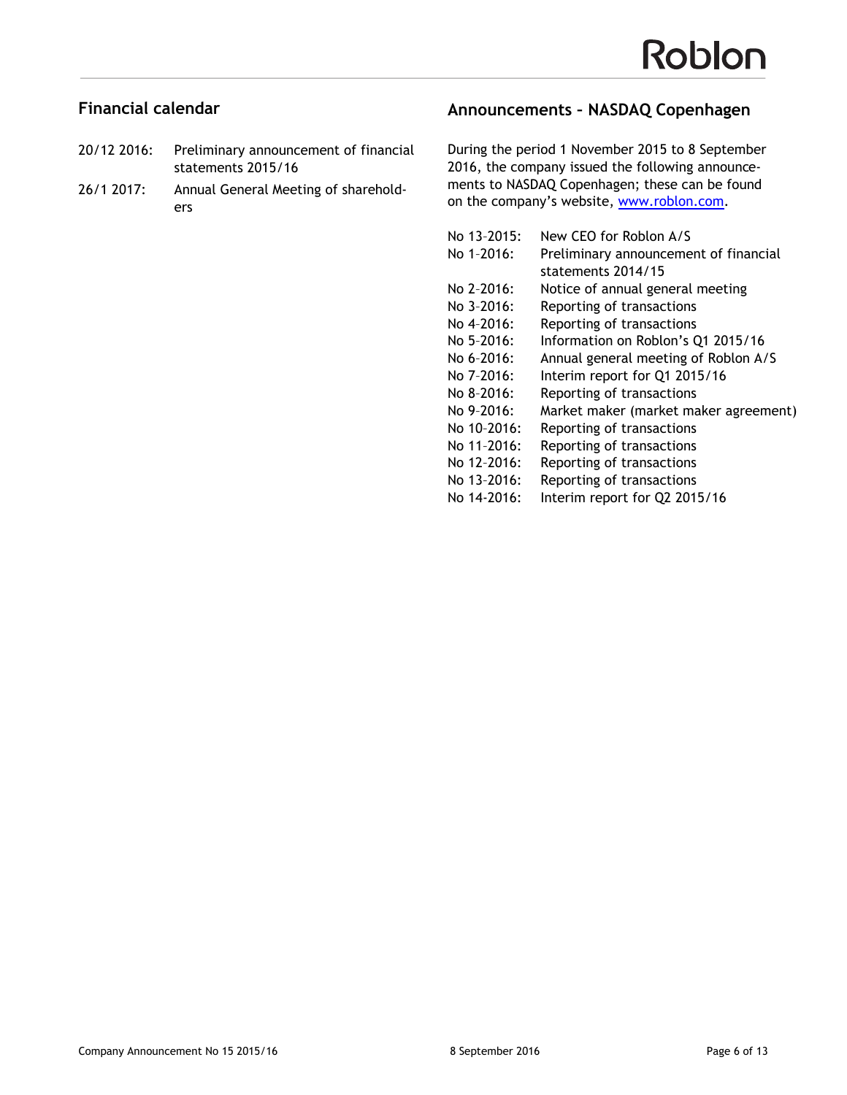## **Financial calendar**

- 20/12 2016: Preliminary announcement of financial statements 2015/16
- 26/1 2017: Annual General Meeting of shareholders

## **Announcements – NASDAQ Copenhagen**

During the period 1 November 2015 to 8 September 2016, the company issued the following announcements to NASDAQ Copenhagen; these can be found on the company's website, [www.roblon.com.](www.roblon.com)

| No 13-2015: | New CEO for Roblon A/S                |
|-------------|---------------------------------------|
| No 1-2016:  | Preliminary announcement of financial |
|             | statements 2014/15                    |
| No 2-2016:  | Notice of annual general meeting      |
| No 3-2016:  | Reporting of transactions             |
| No 4-2016:  | Reporting of transactions             |
| No 5-2016:  | Information on Roblon's Q1 2015/16    |
| No 6-2016:  | Annual general meeting of Roblon A/S  |
| No 7-2016:  | Interim report for Q1 2015/16         |
| No 8-2016:  | Reporting of transactions             |
| No 9-2016:  | Market maker (market maker agreement) |
| No 10-2016: | Reporting of transactions             |
| No 11-2016: | Reporting of transactions             |
| No 12-2016: | Reporting of transactions             |
| No 13-2016: | Reporting of transactions             |
| No 14-2016: | Interim report for Q2 2015/16         |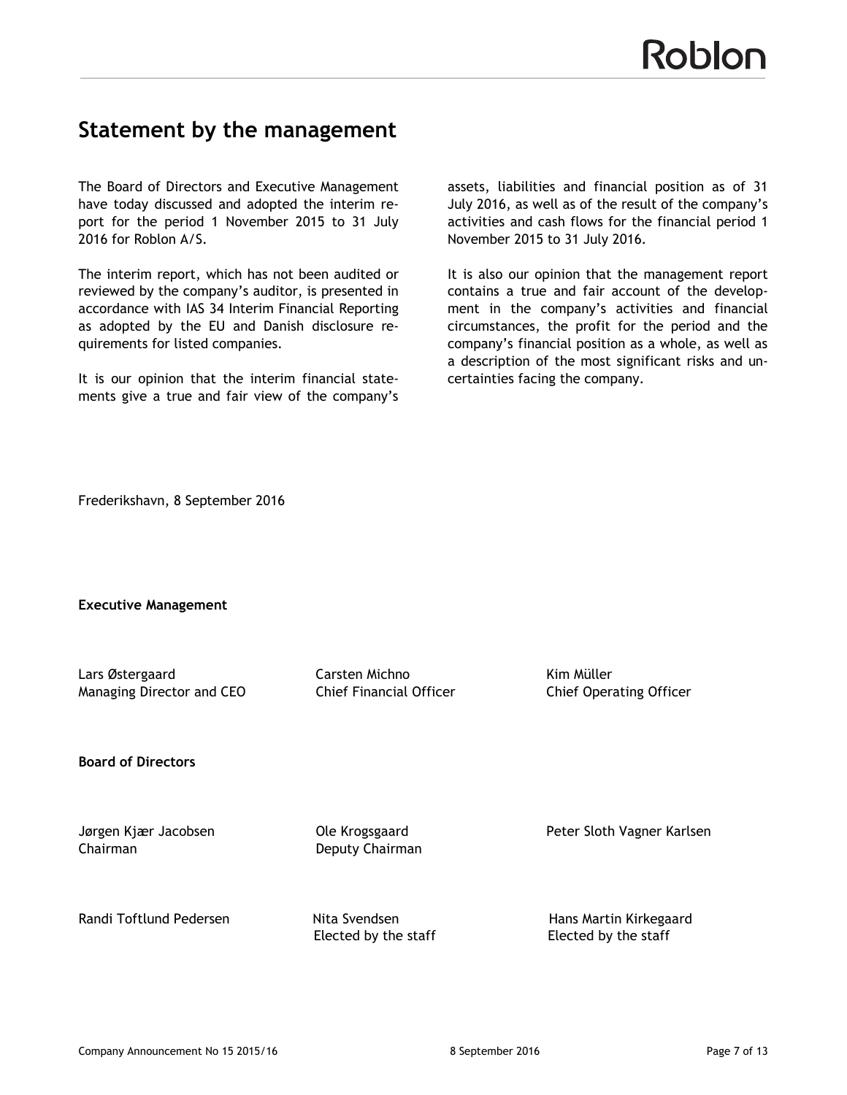# **Statement by the management**

The Board of Directors and Executive Management have today discussed and adopted the interim report for the period 1 November 2015 to 31 July 2016 for Roblon A/S.

The interim report, which has not been audited or reviewed by the company's auditor, is presented in accordance with IAS 34 Interim Financial Reporting as adopted by the EU and Danish disclosure requirements for listed companies.

It is our opinion that the interim financial statements give a true and fair view of the company's

assets, liabilities and financial position as of 31 July 2016, as well as of the result of the company's activities and cash flows for the financial period 1 November 2015 to 31 July 2016.

It is also our opinion that the management report contains a true and fair account of the development in the company's activities and financial circumstances, the profit for the period and the company's financial position as a whole, as well as a description of the most significant risks and uncertainties facing the company.

Frederikshavn, 8 September 2016

**Executive Management**

Lars Østergaard Carsten Michno Kim Müller Managing Director and CEO **Chief Financial Officer** Chief Operating Officer

**Board of Directors** 

Chairman Deputy Chairman

Jørgen Kjær Jacobsen Ole Krogsgaard Peter Sloth Vagner Karlsen

Randi Toftlund Pedersen **Nita Svendsen Hans Martin Kirkegaard** Elected by the staff Elected by the staff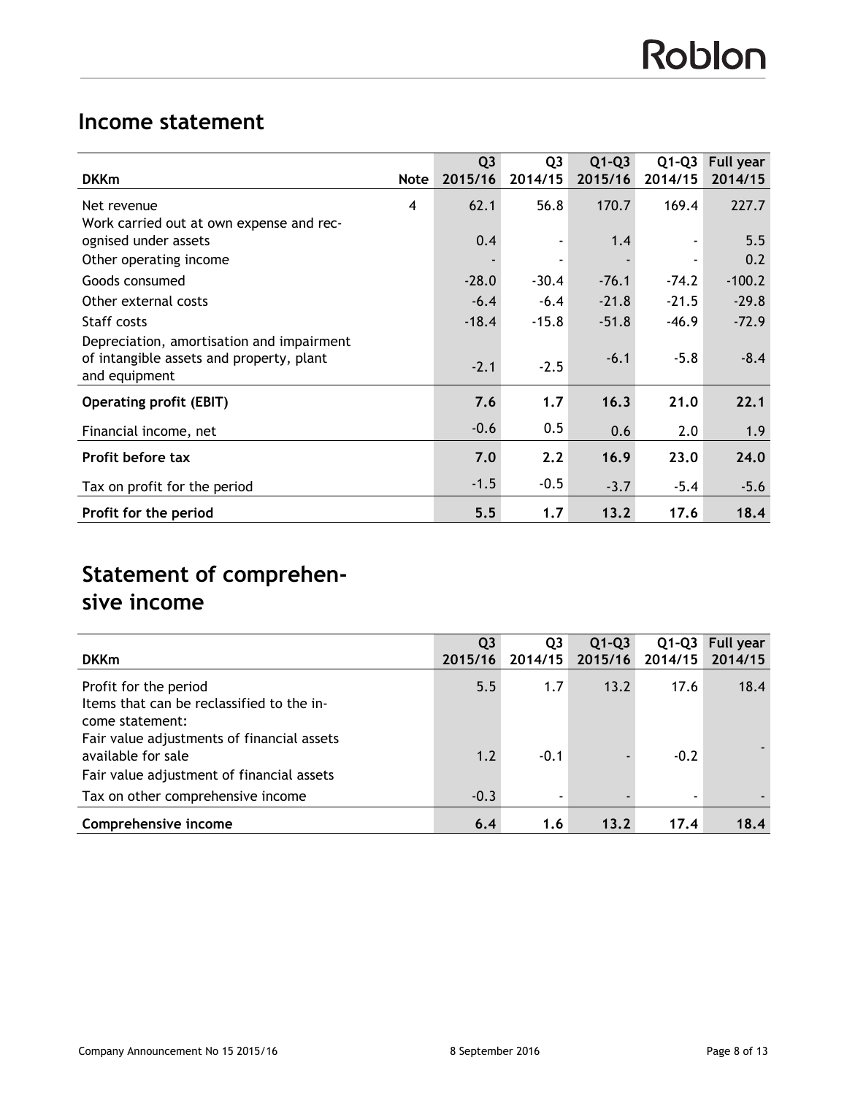# **Income statement**

|                                                                                                        |                | Q <sub>3</sub> | Q <sub>3</sub> | $Q1-Q3$ | $Q1-Q3$ | Full year |
|--------------------------------------------------------------------------------------------------------|----------------|----------------|----------------|---------|---------|-----------|
| <b>DKKm</b>                                                                                            | <b>Note</b>    | 2015/16        | 2014/15        | 2015/16 | 2014/15 | 2014/15   |
| Net revenue                                                                                            | $\overline{4}$ | 62.1           | 56.8           | 170.7   | 169.4   | 227.7     |
| Work carried out at own expense and rec-                                                               |                |                |                |         |         |           |
| ognised under assets                                                                                   |                | 0.4            |                | 1,4     |         | 5.5       |
| Other operating income                                                                                 |                |                |                |         |         | 0.2       |
| Goods consumed                                                                                         |                | $-28.0$        | $-30.4$        | $-76.1$ | $-74.2$ | $-100.2$  |
| Other external costs                                                                                   |                | $-6.4$         | $-6.4$         | $-21.8$ | $-21.5$ | $-29.8$   |
| Staff costs                                                                                            |                | $-18.4$        | $-15.8$        | $-51.8$ | $-46.9$ | $-72.9$   |
| Depreciation, amortisation and impairment<br>of intangible assets and property, plant<br>and equipment |                | $-2.1$         | $-2.5$         | $-6.1$  | $-5.8$  | $-8.4$    |
| <b>Operating profit (EBIT)</b>                                                                         |                | 7.6            | 1,7            | 16.3    | 21.0    | 22.1      |
| Financial income, net                                                                                  |                | $-0.6$         | 0.5            | 0.6     | 2.0     | 1.9       |
| Profit before tax                                                                                      |                | 7.0            | 2.2            | 16.9    | 23.0    | 24.0      |
| Tax on profit for the period                                                                           |                | $-1.5$         | $-0.5$         | $-3.7$  | $-5.4$  | $-5.6$    |
| Profit for the period                                                                                  |                | 5.5            | 1.7            | 13.2    | 17.6    | 18.4      |

# **Statement of comprehensive income**

|                                            | Q <sub>3</sub> | Q3      | $Q1-Q3$ | $Q1-Q3$                  | Full year |
|--------------------------------------------|----------------|---------|---------|--------------------------|-----------|
| <b>DKKm</b>                                | 2015/16        | 2014/15 | 2015/16 | 2014/15                  | 2014/15   |
| Profit for the period                      | 5.5            | 1.7     | 13.2    | 17.6                     | 18.4      |
| Items that can be reclassified to the in-  |                |         |         |                          |           |
| come statement:                            |                |         |         |                          |           |
| Fair value adjustments of financial assets |                |         |         |                          |           |
| available for sale                         | 1.2            | $-0.1$  |         | $-0.2$                   |           |
| Fair value adjustment of financial assets  |                |         |         |                          |           |
| Tax on other comprehensive income          | $-0.3$         |         |         | $\overline{\phantom{0}}$ |           |
| Comprehensive income                       | 6.4            | 1.6     | 13.2    | 17.4                     | 18.4      |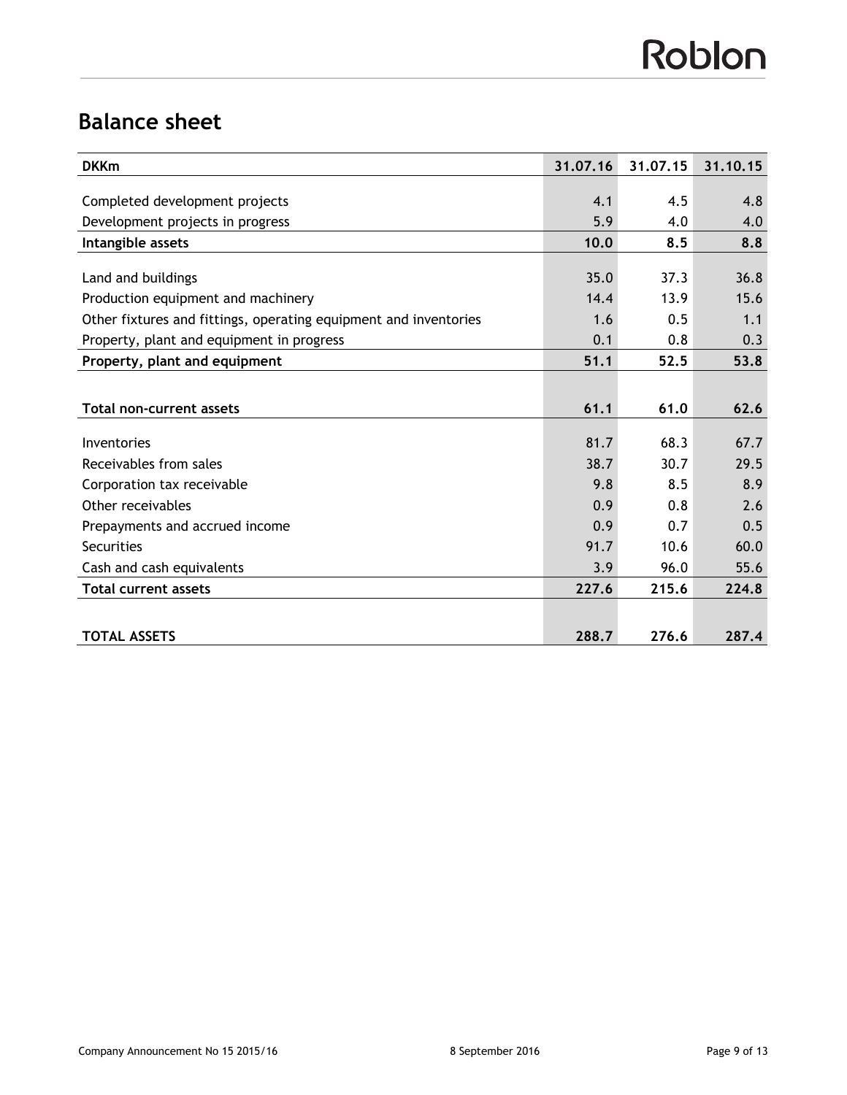# **Balance sheet**

| <b>DKKm</b>                                                      | 31.07.16 | 31.07.15 | 31.10.15 |
|------------------------------------------------------------------|----------|----------|----------|
|                                                                  |          |          |          |
| Completed development projects                                   | 4.1      | 4.5      | 4.8      |
| Development projects in progress                                 | 5.9      | 4.0      | 4.0      |
| Intangible assets                                                | 10.0     | 8.5      | 8.8      |
|                                                                  |          |          |          |
| Land and buildings                                               | 35.0     | 37.3     | 36.8     |
| Production equipment and machinery                               | 14.4     | 13.9     | 15.6     |
| Other fixtures and fittings, operating equipment and inventories | 1.6      | 0.5      | 1.1      |
| Property, plant and equipment in progress                        | 0.1      | 0.8      | 0.3      |
| Property, plant and equipment                                    | 51.1     | 52.5     | 53.8     |
|                                                                  |          |          |          |
| <b>Total non-current assets</b>                                  | 61.1     | 61.0     | 62.6     |
|                                                                  |          |          |          |
| Inventories                                                      | 81.7     | 68.3     | 67.7     |
| Receivables from sales                                           | 38.7     | 30.7     | 29.5     |
| Corporation tax receivable                                       | 9.8      | 8.5      | 8.9      |
| Other receivables                                                | 0.9      | 0.8      | 2.6      |
| Prepayments and accrued income                                   | 0.9      | 0.7      | 0.5      |
| Securities                                                       | 91.7     | 10.6     | 60.0     |
| Cash and cash equivalents                                        | 3.9      | 96.0     | 55.6     |
| <b>Total current assets</b>                                      | 227.6    | 215.6    | 224.8    |
|                                                                  |          |          |          |
| <b>TOTAL ASSETS</b>                                              | 288.7    | 276.6    | 287.4    |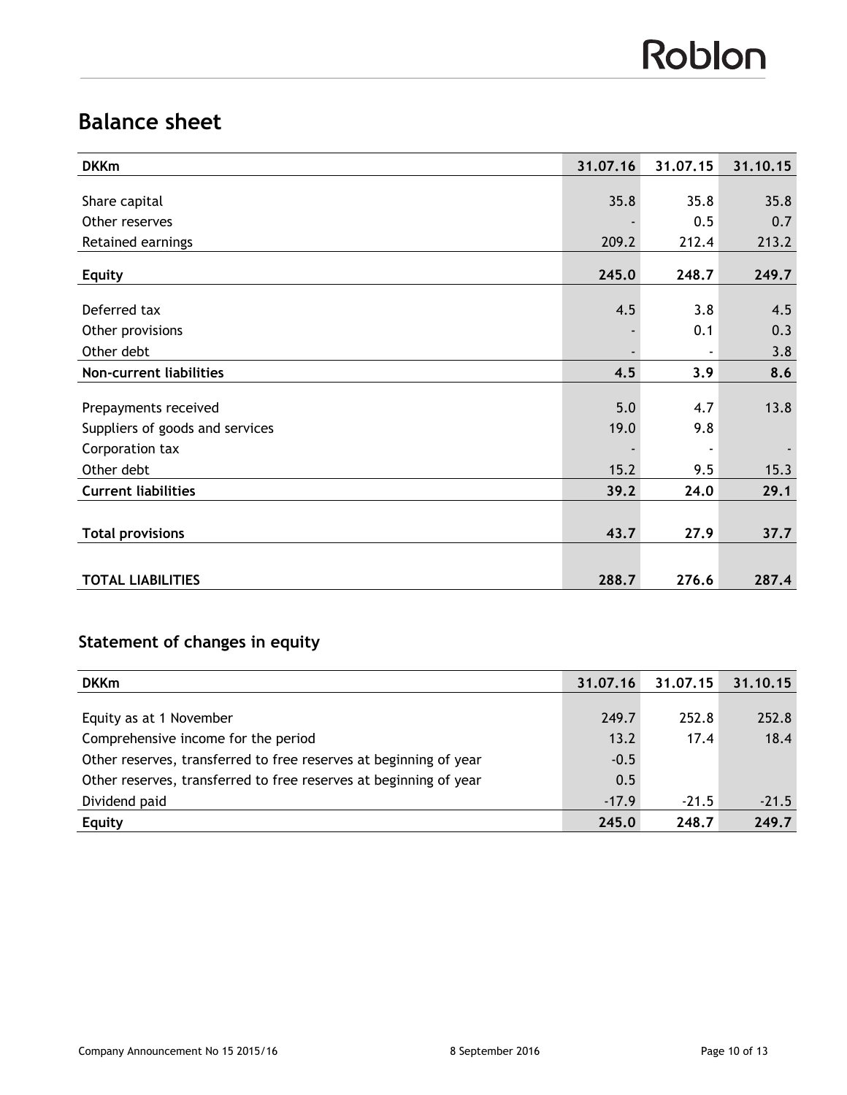# **Balance sheet**

| <b>DKKm</b>                     | 31.07.16 | 31.07.15 | 31.10.15 |
|---------------------------------|----------|----------|----------|
|                                 |          |          |          |
| Share capital                   | 35.8     | 35.8     | 35.8     |
| Other reserves                  |          | 0.5      | 0.7      |
| Retained earnings               | 209.2    | 212.4    | 213.2    |
| <b>Equity</b>                   | 245.0    | 248.7    | 249.7    |
|                                 |          |          |          |
| Deferred tax                    | 4.5      | 3.8      | 4.5      |
| Other provisions                |          | 0.1      | 0.3      |
| Other debt                      |          |          | 3.8      |
| Non-current liabilities         | 4.5      | 3.9      | 8.6      |
|                                 |          |          |          |
| Prepayments received            | 5.0      | 4.7      | 13.8     |
| Suppliers of goods and services | 19.0     | 9.8      |          |
| Corporation tax                 |          |          |          |
| Other debt                      | 15.2     | 9.5      | 15.3     |
| <b>Current liabilities</b>      | 39.2     | 24.0     | 29.1     |
|                                 |          |          |          |
| <b>Total provisions</b>         | 43.7     | 27.9     | 37.7     |
|                                 |          |          |          |
| <b>TOTAL LIABILITIES</b>        | 288.7    | 276.6    | 287.4    |

# **Statement of changes in equity**

| <b>DKKm</b>                                                       | 31.07.16 | 31.07.15 | 31.10.15 |
|-------------------------------------------------------------------|----------|----------|----------|
|                                                                   |          |          |          |
| Equity as at 1 November                                           | 249.7    | 252.8    | 252.8    |
| Comprehensive income for the period                               | 13.2     | 17.4     | 18.4     |
| Other reserves, transferred to free reserves at beginning of year | $-0.5$   |          |          |
| Other reserves, transferred to free reserves at beginning of year | 0.5      |          |          |
| Dividend paid                                                     | $-17.9$  | $-21.5$  | $-21.5$  |
| <b>Equity</b>                                                     | 245.0    | 248.7    | 249.7    |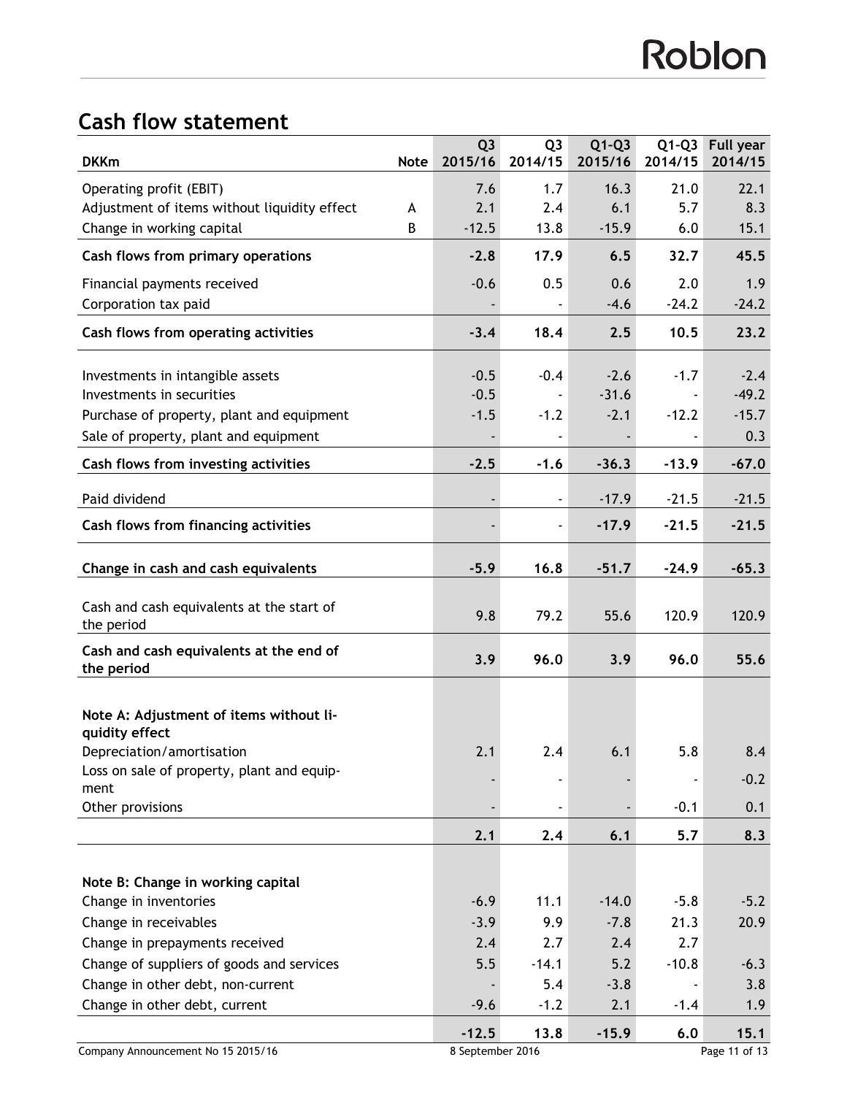# **Cash flow statement**

| <b>DKKm</b>                                                                        | <b>Note</b> | Q <sub>3</sub><br>2015/16 | Q <sub>3</sub><br>2014/15 | $Q1-Q3$<br>2015/16 | $Q1-Q3$<br>2014/15 | <b>Full year</b><br>2014/15 |
|------------------------------------------------------------------------------------|-------------|---------------------------|---------------------------|--------------------|--------------------|-----------------------------|
| Operating profit (EBIT)                                                            |             | 7.6                       | 1.7                       | 16.3               | 21.0               | 22.1                        |
| Adjustment of items without liquidity effect                                       | A           | 2.1                       | 2.4                       | 6.1                | 5.7                | 8.3                         |
| Change in working capital                                                          | B           | $-12.5$                   | 13.8                      | $-15.9$            | 6.0                | 15.1                        |
| Cash flows from primary operations                                                 |             | $-2.8$                    | 17.9                      | 6.5                | 32.7               | 45.5                        |
| Financial payments received                                                        |             | $-0.6$                    | 0.5                       | 0.6                | 2.0                | 1.9                         |
| Corporation tax paid                                                               |             |                           |                           | $-4.6$             | $-24.2$            | $-24.2$                     |
| Cash flows from operating activities                                               |             | $-3.4$                    | 18.4                      | 2.5                | 10.5               | 23.2                        |
|                                                                                    |             |                           |                           |                    |                    |                             |
| Investments in intangible assets<br>Investments in securities                      |             | $-0.5$<br>$-0.5$          | $-0.4$                    | $-2.6$<br>$-31.6$  | $-1.7$             | $-2.4$<br>$-49.2$           |
|                                                                                    |             | $-1.5$                    | $-1.2$                    | $-2.1$             | $-12.2$            | $-15.7$                     |
| Purchase of property, plant and equipment<br>Sale of property, plant and equipment |             |                           |                           |                    |                    | 0.3                         |
|                                                                                    |             |                           |                           |                    |                    |                             |
| Cash flows from investing activities                                               |             | $-2.5$                    | $-1.6$                    | $-36.3$            | $-13.9$            | $-67.0$                     |
| Paid dividend                                                                      |             |                           |                           | $-17.9$            | $-21.5$            | $-21.5$                     |
| Cash flows from financing activities                                               |             |                           | $\overline{\phantom{a}}$  | $-17.9$            | $-21.5$            | $-21.5$                     |
| Change in cash and cash equivalents                                                |             | $-5.9$                    | 16.8                      | $-51.7$            | $-24.9$            | $-65.3$                     |
| Cash and cash equivalents at the start of<br>the period                            |             | 9.8                       | 79.2                      | 55.6               | 120.9              | 120.9                       |
| Cash and cash equivalents at the end of<br>the period                              |             | 3.9                       | 96.0                      | 3.9                | 96.0               | 55.6                        |
| Note A: Adjustment of items without li-<br>quidity effect                          |             |                           |                           |                    |                    |                             |
| Depreciation/amortisation                                                          |             | 2.1                       | 2.4                       | 6.1                | 5.8                | 8.4                         |
| Loss on sale of property, plant and equip-<br>ment                                 |             |                           |                           |                    |                    | $-0.2$                      |
| Other provisions                                                                   |             |                           |                           |                    | $-0.1$             | 0.1                         |
|                                                                                    |             | 2.1                       | 2.4                       | 6.1                | 5.7                | 8.3                         |
|                                                                                    |             |                           |                           |                    |                    |                             |
| Note B: Change in working capital                                                  |             |                           |                           |                    |                    |                             |
| Change in inventories                                                              |             | $-6.9$                    | 11.1                      | $-14.0$            | $-5.8$             | $-5.2$                      |
| Change in receivables                                                              |             | $-3.9$                    | 9.9                       | $-7.8$             | 21.3               | 20.9                        |
| Change in prepayments received                                                     |             | 2.4                       | 2.7                       | 2.4                | 2.7                |                             |
| Change of suppliers of goods and services                                          |             | 5.5                       | $-14.1$                   | $5.2$              | $-10.8$            | $-6.3$                      |
| Change in other debt, non-current                                                  |             |                           | 5.4                       | $-3.8$             |                    | 3.8                         |
| Change in other debt, current                                                      |             | $-9.6$                    | $-1.2$                    | 2.1                | $-1.4$             | 1.9                         |
|                                                                                    |             | $-12.5$                   | 13.8                      | $-15.9$            | 6.0                | 15.1                        |
| Company Announcement No 15 2015/16                                                 |             | 8 September 2016          |                           |                    | Page 11 of 13      |                             |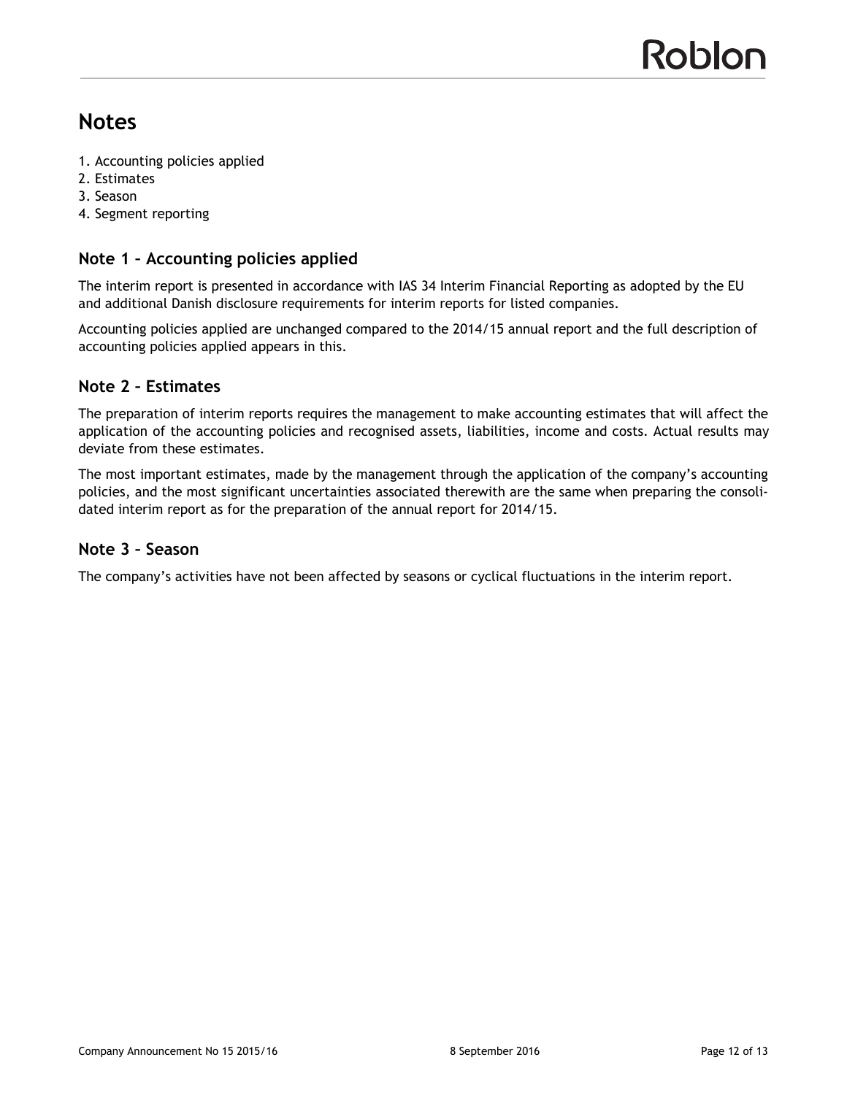# **Notes**

- 1. Accounting policies applied
- 2. Estimates
- 3. Season
- 4. Segment reporting

## **Note 1 – Accounting policies applied**

The interim report is presented in accordance with IAS 34 Interim Financial Reporting as adopted by the EU and additional Danish disclosure requirements for interim reports for listed companies.

Accounting policies applied are unchanged compared to the 2014/15 annual report and the full description of accounting policies applied appears in this.

## **Note 2 – Estimates**

The preparation of interim reports requires the management to make accounting estimates that will affect the application of the accounting policies and recognised assets, liabilities, income and costs. Actual results may deviate from these estimates.

The most important estimates, made by the management through the application of the company's accounting policies, and the most significant uncertainties associated therewith are the same when preparing the consolidated interim report as for the preparation of the annual report for 2014/15.

### **Note 3 – Season**

The company's activities have not been affected by seasons or cyclical fluctuations in the interim report.